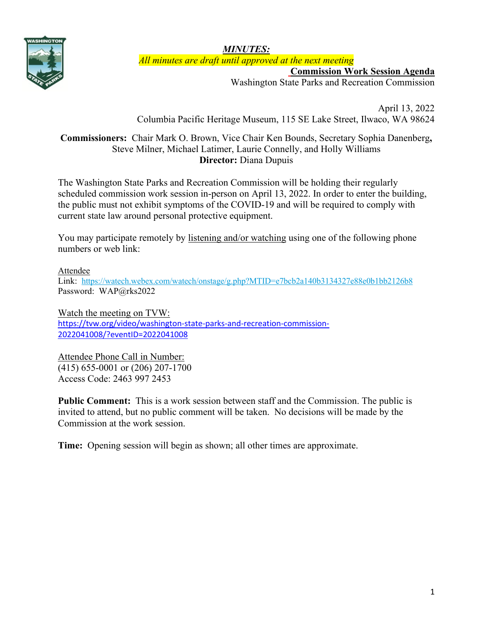

*MINUTES: All minutes are draft until approved at the next meeting*

**Commission Work Session Agenda**

Washington State Parks and Recreation Commission

April 13, 2022 Columbia Pacific Heritage Museum, 115 SE Lake Street, Ilwaco, WA 98624

## **Commissioners:** Chair Mark O. Brown, Vice Chair Ken Bounds, Secretary Sophia Danenberg**,**  Steve Milner, Michael Latimer, Laurie Connelly, and Holly Williams **Director:** Diana Dupuis

The Washington State Parks and Recreation Commission will be holding their regularly scheduled commission work session in-person on April 13, 2022. In order to enter the building, the public must not exhibit symptoms of the COVID-19 and will be required to comply with current state law around personal protective equipment.

You may participate remotely by listening and/or watching using one of the following phone numbers or web link:

#### Attendee

Link: <https://watech.webex.com/watech/onstage/g.php?MTID=e7bcb2a140b3134327e88e0b1bb2126b8> Password: WAP@rks2022

Watch the meeting on TVW: [https://tvw.org/video/washington-state-parks-and-recreation-commission-](https://gcc02.safelinks.protection.outlook.com/?url=https%3A%2F%2Ftvw.org%2Fvideo%2Fwashington-state-parks-and-recreation-commission-2022041008%2F%3FeventID%3D2022041008&data=04%7C01%7CBecki.Ellison%40parks.wa.gov%7C357f03d9d9254e8cf9cf08da08405f1a%7C11d0e217264e400a8ba057dcc127d72d%7C0%7C0%7C637831369816373308%7CUnknown%7CTWFpbGZsb3d8eyJWIjoiMC4wLjAwMDAiLCJQIjoiV2luMzIiLCJBTiI6Ik1haWwiLCJXVCI6Mn0%3D%7C3000&sdata=xoH2SNLuEVBbcyJa5hB1rD9prGBpHZW0PBOkp%2FgECMU%3D&reserved=0)[2022041008/?eventID=2022041008](https://gcc02.safelinks.protection.outlook.com/?url=https%3A%2F%2Ftvw.org%2Fvideo%2Fwashington-state-parks-and-recreation-commission-2022041008%2F%3FeventID%3D2022041008&data=04%7C01%7CBecki.Ellison%40parks.wa.gov%7C357f03d9d9254e8cf9cf08da08405f1a%7C11d0e217264e400a8ba057dcc127d72d%7C0%7C0%7C637831369816373308%7CUnknown%7CTWFpbGZsb3d8eyJWIjoiMC4wLjAwMDAiLCJQIjoiV2luMzIiLCJBTiI6Ik1haWwiLCJXVCI6Mn0%3D%7C3000&sdata=xoH2SNLuEVBbcyJa5hB1rD9prGBpHZW0PBOkp%2FgECMU%3D&reserved=0)

Attendee Phone Call in Number: (415) 655-0001 or (206) 207-1700 Access Code: 2463 997 2453

**Public Comment:** This is a work session between staff and the Commission. The public is invited to attend, but no public comment will be taken. No decisions will be made by the Commission at the work session.

**Time:** Opening session will begin as shown; all other times are approximate.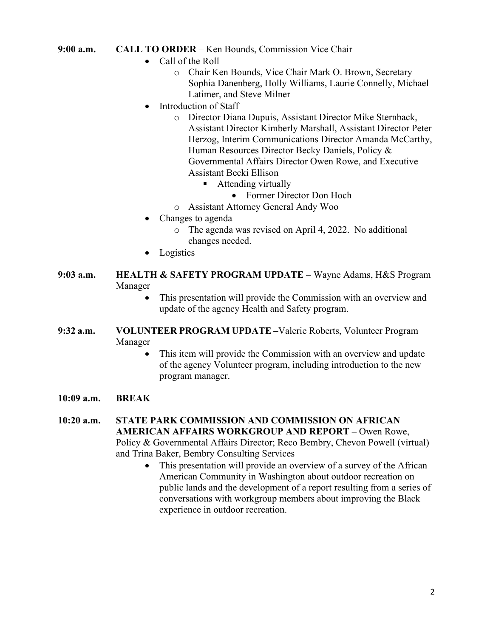#### **9:00 a.m. CALL TO ORDER** – Ken Bounds, Commission Vice Chair

- Call of the Roll
	- o Chair Ken Bounds, Vice Chair Mark O. Brown, Secretary Sophia Danenberg, Holly Williams, Laurie Connelly, Michael Latimer, and Steve Milner
- Introduction of Staff
	- o Director Diana Dupuis, Assistant Director Mike Sternback, Assistant Director Kimberly Marshall, Assistant Director Peter Herzog, Interim Communications Director Amanda McCarthy, Human Resources Director Becky Daniels, Policy & Governmental Affairs Director Owen Rowe, and Executive Assistant Becki Ellison
		- **Attending virtually** 
			- Former Director Don Hoch
	- o Assistant Attorney General Andy Woo
- Changes to agenda
	- o The agenda was revised on April 4, 2022. No additional changes needed.
- Logistics
- **9:03 a.m. HEALTH & SAFETY PROGRAM UPDATE** Wayne Adams, H&S Program Manager
	- This presentation will provide the Commission with an overview and update of the agency Health and Safety program.
- **9:32 a.m. VOLUNTEER PROGRAM UPDATE –**Valerie Roberts, Volunteer Program Manager
	- This item will provide the Commission with an overview and update of the agency Volunteer program, including introduction to the new program manager.
- **10:09 a.m. BREAK**

**10:20 a.m. STATE PARK COMMISSION AND COMMISSION ON AFRICAN AMERICAN AFFAIRS WORKGROUP AND REPORT –** Owen Rowe, Policy & Governmental Affairs Director; Reco Bembry, Chevon Powell (virtual) and Trina Baker, Bembry Consulting Services

> This presentation will provide an overview of a survey of the African American Community in Washington about outdoor recreation on public lands and the development of a report resulting from a series of conversations with workgroup members about improving the Black experience in outdoor recreation.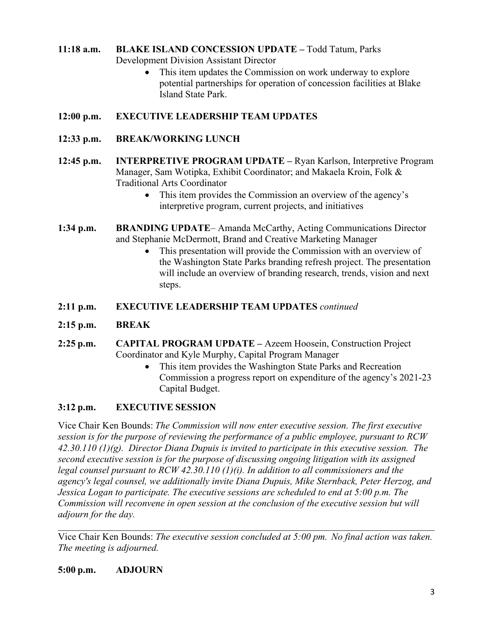# **11:18 a.m. BLAKE ISLAND CONCESSION UPDATE –** Todd Tatum, Parks Development Division Assistant Director

• This item updates the Commission on work underway to explore potential partnerships for operation of concession facilities at Blake Island State Park.

# **12:00 p.m. EXECUTIVE LEADERSHIP TEAM UPDATES**

- **12:33 p.m. BREAK/WORKING LUNCH**
- **12:45 p.m. INTERPRETIVE PROGRAM UPDATE –** Ryan Karlson, Interpretive Program Manager, Sam Wotipka, Exhibit Coordinator; and Makaela Kroin, Folk & Traditional Arts Coordinator
	- This item provides the Commission an overview of the agency's interpretive program, current projects, and initiatives
- **1:34 p.m. BRANDING UPDATE** Amanda McCarthy, Acting Communications Director and Stephanie McDermott, Brand and Creative Marketing Manager
	- This presentation will provide the Commission with an overview of the Washington State Parks branding refresh project. The presentation will include an overview of branding research, trends, vision and next steps.
- **2:11 p.m. EXECUTIVE LEADERSHIP TEAM UPDATES** *continued*
- **2:15 p.m. BREAK**
- **2:25 p.m. CAPITAL PROGRAM UPDATE –** Azeem Hoosein, Construction Project Coordinator and Kyle Murphy, Capital Program Manager
	- This item provides the Washington State Parks and Recreation Commission a progress report on expenditure of the agency's 2021-23 Capital Budget.

# **3:12 p.m. EXECUTIVE SESSION**

Vice Chair Ken Bounds: *The Commission will now enter executive session. The first executive session is for the purpose of reviewing the performance of a public employee, pursuant to RCW 42.30.110 (1)(g). Director Diana Dupuis is invited to participate in this executive session. The second executive session is for the purpose of discussing ongoing litigation with its assigned legal counsel pursuant to RCW 42.30.110 (1)(i). In addition to all commissioners and the agency's legal counsel, we additionally invite Diana Dupuis, Mike Sternback, Peter Herzog, and Jessica Logan to participate. The executive sessions are scheduled to end at 5:00 p.m. The Commission will reconvene in open session at the conclusion of the executive session but will adjourn for the day.*

Vice Chair Ken Bounds: *The executive session concluded at 5:00 pm. No final action was taken. The meeting is adjourned.*

\_\_\_\_\_\_\_\_\_\_\_\_\_\_\_\_\_\_\_\_\_\_\_\_\_\_\_\_\_\_\_\_\_\_\_\_\_\_\_\_\_\_\_\_\_\_\_\_\_\_\_\_\_\_\_\_\_\_\_\_\_\_\_\_\_\_\_\_\_\_\_\_\_\_\_\_\_\_

**5:00 p.m. ADJOURN**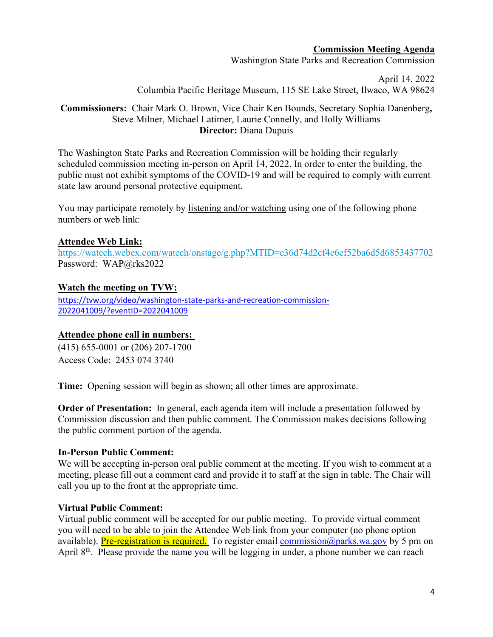#### **Commission Meeting Agenda**

Washington State Parks and Recreation Commission

April 14, 2022 Columbia Pacific Heritage Museum, 115 SE Lake Street, Ilwaco, WA 98624

## **Commissioners:** Chair Mark O. Brown, Vice Chair Ken Bounds, Secretary Sophia Danenberg**,**  Steve Milner, Michael Latimer, Laurie Connelly, and Holly Williams **Director:** Diana Dupuis

The Washington State Parks and Recreation Commission will be holding their regularly scheduled commission meeting in-person on April 14, 2022. In order to enter the building, the public must not exhibit symptoms of the COVID-19 and will be required to comply with current state law around personal protective equipment.

You may participate remotely by listening and/or watching using one of the following phone numbers or web link:

#### **Attendee Web Link:**

<https://watech.webex.com/watech/onstage/g.php?MTID=e36d74d2cf4e6ef52ba6d5d6853437702> Password: WAP@rks2022

## **Watch the meeting on TVW:**

[https://tvw.org/video/washington-state-parks-and-recreation-commission-](https://gcc02.safelinks.protection.outlook.com/?url=https%3A%2F%2Ftvw.org%2Fvideo%2Fwashington-state-parks-and-recreation-commission-2022041009%2F%3FeventID%3D2022041009&data=04%7C01%7CBecki.Ellison%40parks.wa.gov%7C357f03d9d9254e8cf9cf08da08405f1a%7C11d0e217264e400a8ba057dcc127d72d%7C0%7C0%7C637831369816373308%7CUnknown%7CTWFpbGZsb3d8eyJWIjoiMC4wLjAwMDAiLCJQIjoiV2luMzIiLCJBTiI6Ik1haWwiLCJXVCI6Mn0%3D%7C3000&sdata=f7T8TQAGsQf4DnNKrTRNISKysvmU4hqP5AAg%2BSIRxpw%3D&reserved=0)[2022041009/?eventID=2022041009](https://gcc02.safelinks.protection.outlook.com/?url=https%3A%2F%2Ftvw.org%2Fvideo%2Fwashington-state-parks-and-recreation-commission-2022041009%2F%3FeventID%3D2022041009&data=04%7C01%7CBecki.Ellison%40parks.wa.gov%7C357f03d9d9254e8cf9cf08da08405f1a%7C11d0e217264e400a8ba057dcc127d72d%7C0%7C0%7C637831369816373308%7CUnknown%7CTWFpbGZsb3d8eyJWIjoiMC4wLjAwMDAiLCJQIjoiV2luMzIiLCJBTiI6Ik1haWwiLCJXVCI6Mn0%3D%7C3000&sdata=f7T8TQAGsQf4DnNKrTRNISKysvmU4hqP5AAg%2BSIRxpw%3D&reserved=0)

## **Attendee phone call in numbers:**

(415) 655-0001 or (206) 207-1700 Access Code: 2453 074 3740

**Time:** Opening session will begin as shown; all other times are approximate.

**Order of Presentation:** In general, each agenda item will include a presentation followed by Commission discussion and then public comment. The Commission makes decisions following the public comment portion of the agenda.

#### **In-Person Public Comment:**

We will be accepting in-person oral public comment at the meeting. If you wish to comment at a meeting, please fill out a comment card and provide it to staff at the sign in table. The Chair will call you up to the front at the appropriate time.

## **Virtual Public Comment:**

Virtual public comment will be accepted for our public meeting. To provide virtual comment you will need to be able to join the Attendee Web link from your computer (no phone option available). Pre-registration is required. To register email commission  $\omega$  parks wa gov by 5 pm on April 8<sup>th</sup>. Please provide the name you will be logging in under, a phone number we can reach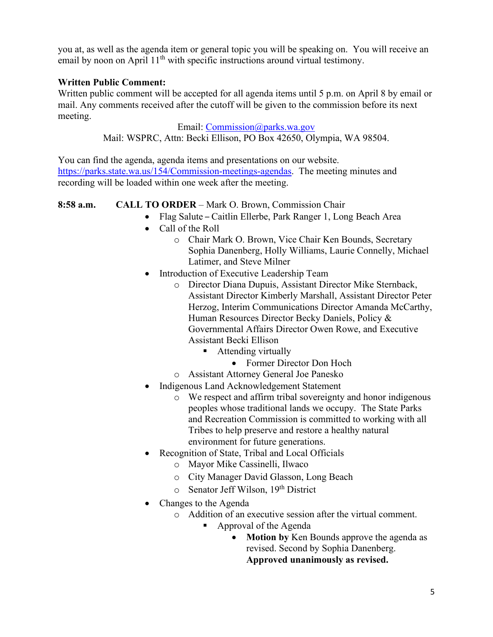you at, as well as the agenda item or general topic you will be speaking on. You will receive an email by noon on April  $11<sup>th</sup>$  with specific instructions around virtual testimony.

## **Written Public Comment:**

Written public comment will be accepted for all agenda items until 5 p.m. on April 8 by email or mail. Any comments received after the cutoff will be given to the commission before its next meeting.

> Email: [Commission@parks.wa.gov](mailto:Commission@parks.wa.gov) Mail: WSPRC, Attn: Becki Ellison, PO Box 42650, Olympia, WA 98504.

You can find the agenda, agenda items and presentations on our website. [https://parks.state.wa.us/154/Commission-meetings-agendas.](https://parks.state.wa.us/154/Commission-meetings-agendas) The meeting minutes and recording will be loaded within one week after the meeting.

## **8:58 a.m. CALL TO ORDER** – Mark O. Brown, Commission Chair

- Flag Salute Caitlin Ellerbe, Park Ranger 1, Long Beach Area
- Call of the Roll
	- o Chair Mark O. Brown, Vice Chair Ken Bounds, Secretary Sophia Danenberg, Holly Williams, Laurie Connelly, Michael Latimer, and Steve Milner
- Introduction of Executive Leadership Team
	- o Director Diana Dupuis, Assistant Director Mike Sternback, Assistant Director Kimberly Marshall, Assistant Director Peter Herzog, Interim Communications Director Amanda McCarthy, Human Resources Director Becky Daniels, Policy & Governmental Affairs Director Owen Rowe, and Executive Assistant Becki Ellison
		- **Attending virtually** 
			- Former Director Don Hoch
	- o Assistant Attorney General Joe Panesko
- Indigenous Land Acknowledgement Statement
	- o We respect and affirm tribal sovereignty and honor indigenous peoples whose traditional lands we occupy. The State Parks and Recreation Commission is committed to working with all Tribes to help preserve and restore a healthy natural environment for future generations.
- Recognition of State, Tribal and Local Officials
	- o Mayor Mike Cassinelli, Ilwaco
	- o City Manager David Glasson, Long Beach
	- $\circ$  Senator Jeff Wilson, 19<sup>th</sup> District
- Changes to the Agenda
	- o Addition of an executive session after the virtual comment.
		- Approval of the Agenda
			- **Motion by** Ken Bounds approve the agenda as revised. Second by Sophia Danenberg. **Approved unanimously as revised.**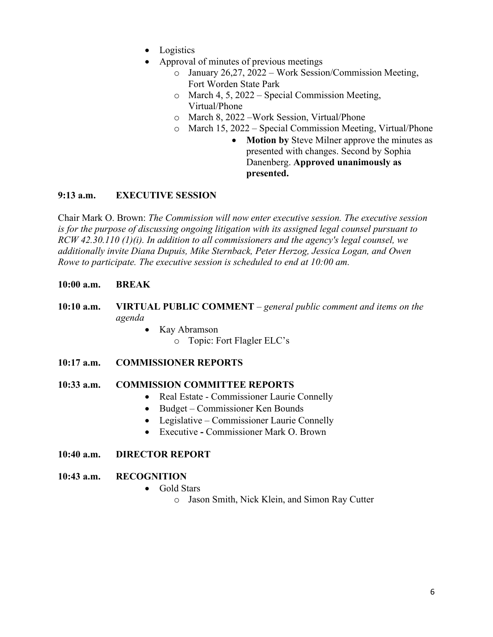- Logistics
- Approval of minutes of previous meetings
	- o January 26,27, 2022 Work Session/Commission Meeting, Fort Worden State Park
	- o March 4, 5, 2022 Special Commission Meeting, Virtual/Phone
	- o March 8, 2022 –Work Session, Virtual/Phone
	- o March 15, 2022 Special Commission Meeting, Virtual/Phone
		- **Motion by** Steve Milner approve the minutes as presented with changes. Second by Sophia Danenberg. **Approved unanimously as presented.**

## **9:13 a.m. EXECUTIVE SESSION**

Chair Mark O. Brown: *The Commission will now enter executive session. The executive session is for the purpose of discussing ongoing litigation with its assigned legal counsel pursuant to RCW 42.30.110 (1)(i). In addition to all commissioners and the agency's legal counsel, we additionally invite Diana Dupuis, Mike Sternback, Peter Herzog, Jessica Logan, and Owen Rowe to participate. The executive session is scheduled to end at 10:00 am.*

#### **10:00 a.m. BREAK**

- **10:10 a.m. VIRTUAL PUBLIC COMMENT** *– general public comment and items on the agenda* 
	- Kay Abramson
		- o Topic: Fort Flagler ELC's

#### **10:17 a.m. COMMISSIONER REPORTS**

#### **10:33 a.m. COMMISSION COMMITTEE REPORTS**

- Real Estate Commissioner Laurie Connelly
- Budget Commissioner Ken Bounds
- Legislative Commissioner Laurie Connelly
- Executive **-** Commissioner Mark O. Brown

#### **10:40 a.m. DIRECTOR REPORT**

#### **10:43 a.m. RECOGNITION**

- Gold Stars
	- o Jason Smith, Nick Klein, and Simon Ray Cutter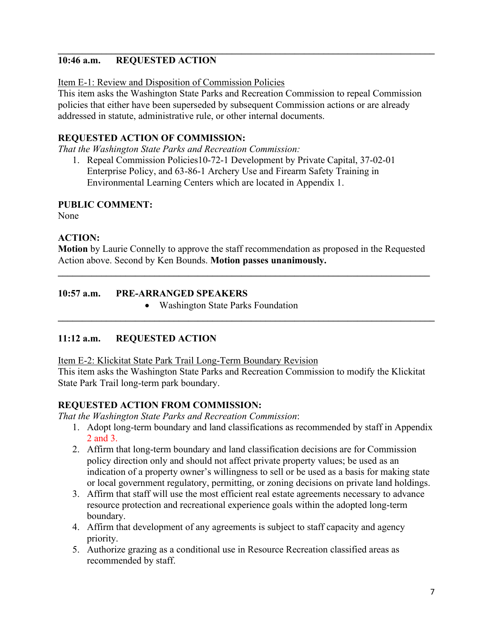#### **\_\_\_\_\_\_\_\_\_\_\_\_\_\_\_\_\_\_\_\_\_\_\_\_\_\_\_\_\_\_\_\_\_\_\_\_\_\_\_\_\_\_\_\_\_\_\_\_\_\_\_\_\_\_\_\_\_\_\_\_\_\_\_\_\_\_\_\_\_\_\_\_\_\_\_\_\_\_ 10:46 a.m. REQUESTED ACTION**

#### Item E-1: Review and Disposition of Commission Policies

This item asks the Washington State Parks and Recreation Commission to repeal Commission policies that either have been superseded by subsequent Commission actions or are already addressed in statute, administrative rule, or other internal documents.

## **REQUESTED ACTION OF COMMISSION:**

*That the Washington State Parks and Recreation Commission:*

1. Repeal Commission Policies10-72-1 Development by Private Capital, 37-02-01 Enterprise Policy, and 63-86-1 Archery Use and Firearm Safety Training in Environmental Learning Centers which are located in Appendix 1.

## **PUBLIC COMMENT:**

None

## **ACTION:**

**Motion** by Laurie Connelly to approve the staff recommendation as proposed in the Requested Action above. Second by Ken Bounds. **Motion passes unanimously.**

**\_\_\_\_\_\_\_\_\_\_\_\_\_\_\_\_\_\_\_\_\_\_\_\_\_\_\_\_\_\_\_\_\_\_\_\_\_\_\_\_\_\_\_\_\_\_\_\_\_\_\_\_\_\_\_\_\_\_\_\_\_\_\_\_\_\_\_\_\_\_\_\_\_\_\_\_\_**

**\_\_\_\_\_\_\_\_\_\_\_\_\_\_\_\_\_\_\_\_\_\_\_\_\_\_\_\_\_\_\_\_\_\_\_\_\_\_\_\_\_\_\_\_\_\_\_\_\_\_\_\_\_\_\_\_\_\_\_\_\_\_\_\_\_\_\_\_\_\_\_\_\_\_\_\_\_\_**

## **10:57 a.m. PRE-ARRANGED SPEAKERS**

• Washington State Parks Foundation

# **11:12 a.m. REQUESTED ACTION**

Item E-2: Klickitat State Park Trail Long-Term Boundary Revision

This item asks the Washington State Parks and Recreation Commission to modify the Klickitat State Park Trail long-term park boundary.

## **REQUESTED ACTION FROM COMMISSION:**

*That the Washington State Parks and Recreation Commission*:

- 1. Adopt long-term boundary and land classifications as recommended by staff in Appendix 2 and 3.
- 2. Affirm that long-term boundary and land classification decisions are for Commission policy direction only and should not affect private property values; be used as an indication of a property owner's willingness to sell or be used as a basis for making state or local government regulatory, permitting, or zoning decisions on private land holdings.
- 3. Affirm that staff will use the most efficient real estate agreements necessary to advance resource protection and recreational experience goals within the adopted long-term boundary.
- 4. Affirm that development of any agreements is subject to staff capacity and agency priority.
- 5. Authorize grazing as a conditional use in Resource Recreation classified areas as recommended by staff.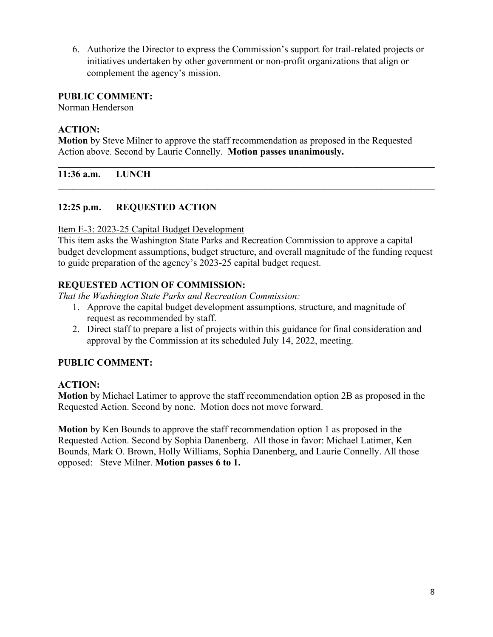6. Authorize the Director to express the Commission's support for trail-related projects or initiatives undertaken by other government or non-profit organizations that align or complement the agency's mission.

#### **PUBLIC COMMENT:**

Norman Henderson

## **ACTION:**

**Motion** by Steve Milner to approve the staff recommendation as proposed in the Requested Action above. Second by Laurie Connelly. **Motion passes unanimously.**

**\_\_\_\_\_\_\_\_\_\_\_\_\_\_\_\_\_\_\_\_\_\_\_\_\_\_\_\_\_\_\_\_\_\_\_\_\_\_\_\_\_\_\_\_\_\_\_\_\_\_\_\_\_\_\_\_\_\_\_\_\_\_\_\_\_\_\_\_\_\_\_\_\_\_\_\_\_\_**

**\_\_\_\_\_\_\_\_\_\_\_\_\_\_\_\_\_\_\_\_\_\_\_\_\_\_\_\_\_\_\_\_\_\_\_\_\_\_\_\_\_\_\_\_\_\_\_\_\_\_\_\_\_\_\_\_\_\_\_\_\_\_\_\_\_\_\_\_\_\_\_\_\_\_\_\_\_\_**

**11:36 a.m. LUNCH**

## **12:25 p.m. REQUESTED ACTION**

Item E-3: 2023-25 Capital Budget Development

This item asks the Washington State Parks and Recreation Commission to approve a capital budget development assumptions, budget structure, and overall magnitude of the funding request to guide preparation of the agency's 2023-25 capital budget request.

## **REQUESTED ACTION OF COMMISSION:**

*That the Washington State Parks and Recreation Commission:*

- 1. Approve the capital budget development assumptions, structure, and magnitude of request as recommended by staff.
- 2. Direct staff to prepare a list of projects within this guidance for final consideration and approval by the Commission at its scheduled July 14, 2022, meeting.

## **PUBLIC COMMENT:**

#### **ACTION:**

**Motion** by Michael Latimer to approve the staff recommendation option 2B as proposed in the Requested Action. Second by none. Motion does not move forward.

**Motion** by Ken Bounds to approve the staff recommendation option 1 as proposed in the Requested Action. Second by Sophia Danenberg. All those in favor: Michael Latimer, Ken Bounds, Mark O. Brown, Holly Williams, Sophia Danenberg, and Laurie Connelly. All those opposed: Steve Milner. **Motion passes 6 to 1.**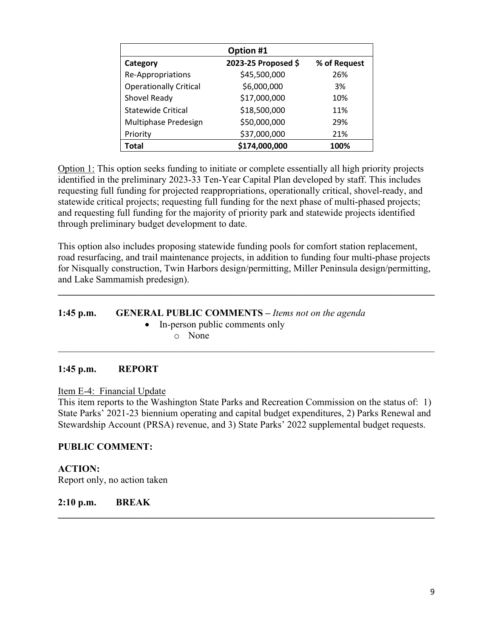| Option #1                     |                     |              |
|-------------------------------|---------------------|--------------|
| Category                      | 2023-25 Proposed \$ | % of Request |
| Re-Appropriations             | \$45,500,000        | 26%          |
| <b>Operationally Critical</b> | \$6,000,000         | 3%           |
| Shovel Ready                  | \$17,000,000        | 10%          |
| <b>Statewide Critical</b>     | \$18,500,000        | 11%          |
| Multiphase Predesign          | \$50,000,000        | 29%          |
| Priority                      | \$37,000,000        | 21%          |
| Total                         | \$174,000,000       | 100%         |

Option 1: This option seeks funding to initiate or complete essentially all high priority projects identified in the preliminary 2023-33 Ten-Year Capital Plan developed by staff. This includes requesting full funding for projected reappropriations, operationally critical, shovel-ready, and statewide critical projects; requesting full funding for the next phase of multi-phased projects; and requesting full funding for the majority of priority park and statewide projects identified through preliminary budget development to date.

This option also includes proposing statewide funding pools for comfort station replacement, road resurfacing, and trail maintenance projects, in addition to funding four multi-phase projects for Nisqually construction, Twin Harbors design/permitting, Miller Peninsula design/permitting, and Lake Sammamish predesign).

**\_\_\_\_\_\_\_\_\_\_\_\_\_\_\_\_\_\_\_\_\_\_\_\_\_\_\_\_\_\_\_\_\_\_\_\_\_\_\_\_\_\_\_\_\_\_\_\_\_\_\_\_\_\_\_\_\_\_\_\_\_\_\_\_\_\_\_\_\_\_\_\_\_\_\_\_\_\_**

# **1:45 p.m. GENERAL PUBLIC COMMENTS –** *Items not on the agenda*

• In-person public comments only o None

# \_\_\_\_\_\_\_\_\_\_\_\_\_\_\_\_\_\_\_\_\_\_\_\_\_\_\_\_\_\_\_\_\_\_\_\_\_\_\_\_\_\_\_\_\_\_\_\_\_\_\_\_\_\_\_\_\_\_\_\_\_\_\_\_\_\_\_\_\_\_\_\_\_\_\_\_\_\_

# **1:45 p.m. REPORT**

## Item E-4: Financial Update

This item reports to the Washington State Parks and Recreation Commission on the status of: 1) State Parks' 2021-23 biennium operating and capital budget expenditures, 2) Parks Renewal and Stewardship Account (PRSA) revenue, and 3) State Parks' 2022 supplemental budget requests.

**\_\_\_\_\_\_\_\_\_\_\_\_\_\_\_\_\_\_\_\_\_\_\_\_\_\_\_\_\_\_\_\_\_\_\_\_\_\_\_\_\_\_\_\_\_\_\_\_\_\_\_\_\_\_\_\_\_\_\_\_\_\_\_\_\_\_\_\_\_\_\_\_\_\_\_\_\_\_**

# **PUBLIC COMMENT:**

## **ACTION:**  Report only, no action taken

## **2:10 p.m. BREAK**